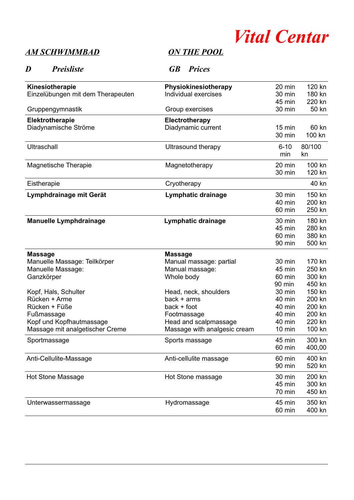

## **AM SCHWIMMBAD**

| <b>Preisliste</b><br>D                | <b>GB</b><br><b>Prices</b>             |                  |                  |
|---------------------------------------|----------------------------------------|------------------|------------------|
| Kinesiotherapie                       | Physiokinesiotherapy                   | 20 min           | 120 kn           |
| Einzelübungen mit dem Therapeuten     | Individual exercises                   | 30 min           | 180 kn           |
|                                       |                                        | 45 min           | 220 kn           |
| Gruppengymnastik                      | Group exercises                        | 30 min           | 50 kn            |
| <b>Elektrotherapie</b>                | <b>Electrotherapy</b>                  |                  |                  |
| Diadynamische Ströme                  | Diadynamic current                     | $15 \text{ min}$ | 60 kn            |
|                                       |                                        | 30 min           | 100 kn           |
| Ultraschall                           | Ultrasound therapy                     | $6 - 10$         | 80/100           |
|                                       |                                        | min              | kn               |
| <b>Magnetische Therapie</b>           | Magnetotherapy                         | 20 min           | 100 kn           |
|                                       |                                        | 30 min           | 120 kn           |
| Eistherapie                           | Cryotherapy                            |                  | 40 kn            |
| Lymphdrainage mit Gerät               | Lymphatic drainage                     | 30 min           | 150 kn           |
|                                       |                                        | 40 min           | 200 kn           |
|                                       |                                        | 60 min           | 250 kn           |
| <b>Manuelle Lymphdrainage</b>         | Lymphatic drainage                     | 30 min           | 180 kn           |
|                                       |                                        | 45 min           | 280 kn           |
|                                       |                                        | 60 min           | 380 kn           |
|                                       |                                        | 90 min           | 500 kn           |
| <b>Massage</b>                        | <b>Massage</b>                         |                  |                  |
| Manuelle Massage: Teilkörper          | Manual massage: partial                | 30 min           | 170 kn           |
| Manuelle Massage:                     | Manual massage:                        | 45 min           | 250 kn           |
| Ganzkörper                            | Whole body                             | 60 min           | 300 kn           |
|                                       |                                        | 90 min           | 450 kn<br>150 kn |
| Kopf, Hals, Schulter<br>Rücken + Arme | Head, neck, shoulders<br>$back + arms$ | 30 min<br>40 min | 200 kn           |
| Rücken + Füße                         | $back + foot$                          | 40 min           | 200 kn           |
| Fußmassage                            | Footmassage                            | 40 min           | 200 kn           |
| Kopf und Kopfhautmassage              | Head and scalpmassage                  | 40 min           | 220 kn           |
| Massage mit analgetischer Creme       | Massage with analgesic cream           | $10 \text{ min}$ | 100 kn           |
| Sportmassage                          | Sports massage                         | 45 min           | 300 kn           |
|                                       |                                        | 60 min           | 400,00           |
| Anti-Cellulite-Massage                | Anti-cellulite massage                 | 60 min           | 400 kn           |
|                                       |                                        | 90 min           | 520 kn           |
| <b>Hot Stone Massage</b>              | Hot Stone massage                      | 30 min           | 200 kn           |
|                                       |                                        | 45 min           | 300 kn           |
|                                       |                                        | 70 min           | 450 kn           |
| Unterwassermassage                    | Hydromassage                           | 45 min           | 350 kn           |
|                                       |                                        | 60 min           | 400 kn           |